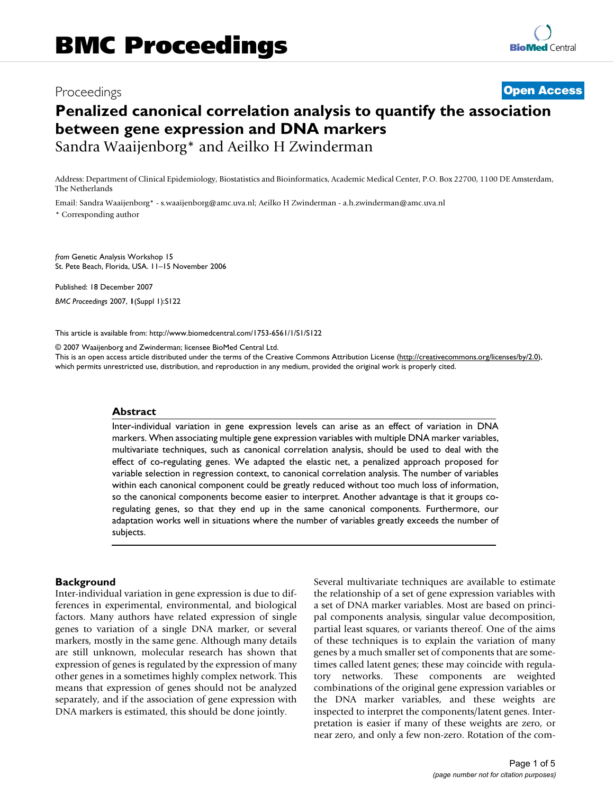# Proceedings **[Open Access](http://www.biomedcentral.com/info/about/charter/) Penalized canonical correlation analysis to quantify the association between gene expression and DNA markers** Sandra Waaijenborg\* and Aeilko H Zwinderman

Address: Department of Clinical Epidemiology, Biostatistics and Bioinformatics, Academic Medical Center, P.O. Box 22700, 1100 DE Amsterdam, The Netherlands

Email: Sandra Waaijenborg\* - s.waaijenborg@amc.uva.nl; Aeilko H Zwinderman - a.h.zwinderman@amc.uva.nl

\* Corresponding author

*from* Genetic Analysis Workshop 15 St. Pete Beach, Florida, USA. 11–15 November 2006

Published: 18 December 2007 *BMC Proceedings* 2007, **1**(Suppl 1):S122

[This article is available from: http://www.biomedcentral.com/1753-6561/1/S1/S122](http://www.biomedcentral.com/1753-6561/1/S1/S122)

© 2007 Waaijenborg and Zwinderman; licensee BioMed Central Ltd.

This is an open access article distributed under the terms of the Creative Commons Attribution License [\(http://creativecommons.org/licenses/by/2.0\)](http://creativecommons.org/licenses/by/2.0), which permits unrestricted use, distribution, and reproduction in any medium, provided the original work is properly cited.

#### **Abstract**

Inter-individual variation in gene expression levels can arise as an effect of variation in DNA markers. When associating multiple gene expression variables with multiple DNA marker variables, multivariate techniques, such as canonical correlation analysis, should be used to deal with the effect of co-regulating genes. We adapted the elastic net, a penalized approach proposed for variable selection in regression context, to canonical correlation analysis. The number of variables within each canonical component could be greatly reduced without too much loss of information, so the canonical components become easier to interpret. Another advantage is that it groups coregulating genes, so that they end up in the same canonical components. Furthermore, our adaptation works well in situations where the number of variables greatly exceeds the number of subjects.

#### **Background**

Inter-individual variation in gene expression is due to differences in experimental, environmental, and biological factors. Many authors have related expression of single genes to variation of a single DNA marker, or several markers, mostly in the same gene. Although many details are still unknown, molecular research has shown that expression of genes is regulated by the expression of many other genes in a sometimes highly complex network. This means that expression of genes should not be analyzed separately, and if the association of gene expression with DNA markers is estimated, this should be done jointly.

Several multivariate techniques are available to estimate the relationship of a set of gene expression variables with a set of DNA marker variables. Most are based on principal components analysis, singular value decomposition, partial least squares, or variants thereof. One of the aims of these techniques is to explain the variation of many genes by a much smaller set of components that are sometimes called latent genes; these may coincide with regulatory networks. These components are weighted combinations of the original gene expression variables or the DNA marker variables, and these weights are inspected to interpret the components/latent genes. Interpretation is easier if many of these weights are zero, or near zero, and only a few non-zero. Rotation of the com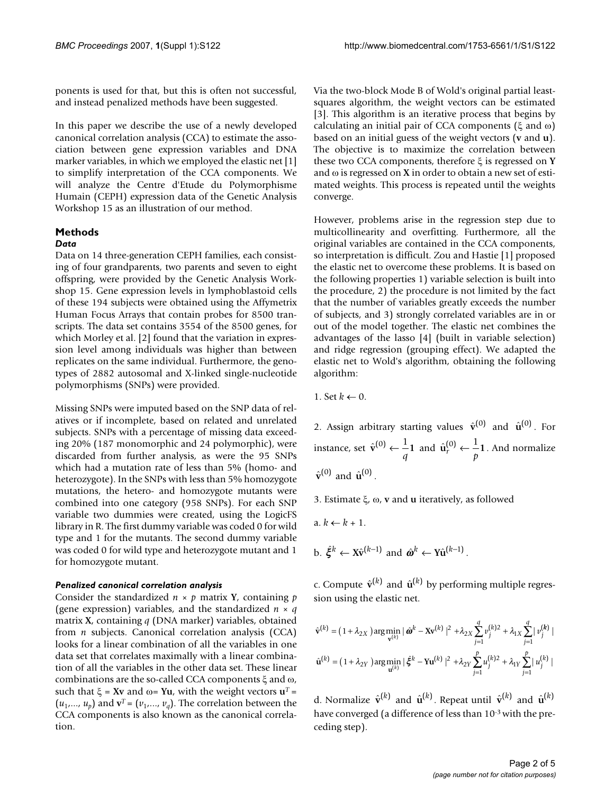ponents is used for that, but this is often not successful, and instead penalized methods have been suggested.

In this paper we describe the use of a newly developed canonical correlation analysis (CCA) to estimate the association between gene expression variables and DNA marker variables, in which we employed the elastic net [1] to simplify interpretation of the CCA components. We will analyze the Centre d'Etude du Polymorphisme Humain (CEPH) expression data of the Genetic Analysis Workshop 15 as an illustration of our method.

## **Methods**

#### *Data*

Data on 14 three-generation CEPH families, each consisting of four grandparents, two parents and seven to eight offspring, were provided by the Genetic Analysis Workshop 15. Gene expression levels in lymphoblastoid cells of these 194 subjects were obtained using the Affymetrix Human Focus Arrays that contain probes for 8500 transcripts. The data set contains 3554 of the 8500 genes, for which Morley et al. [2] found that the variation in expression level among individuals was higher than between replicates on the same individual. Furthermore, the genotypes of 2882 autosomal and X-linked single-nucleotide polymorphisms (SNPs) were provided.

Missing SNPs were imputed based on the SNP data of relatives or if incomplete, based on related and unrelated subjects. SNPs with a percentage of missing data exceeding 20% (187 monomorphic and 24 polymorphic), were discarded from further analysis, as were the 95 SNPs which had a mutation rate of less than 5% (homo- and heterozygote). In the SNPs with less than 5% homozygote mutations, the hetero- and homozygote mutants were combined into one category (958 SNPs). For each SNP variable two dummies were created, using the LogicFS library in R. The first dummy variable was coded 0 for wild type and 1 for the mutants. The second dummy variable was coded 0 for wild type and heterozygote mutant and 1 for homozygote mutant.

#### *Penalized canonical correlation analysis*

Consider the standardized  $n \times p$  matrix **Y**, containing  $p$ (gene expression) variables, and the standardized *n* × *q* matrix **X**, containing *q* (DNA marker) variables, obtained from *n* subjects. Canonical correlation analysis (CCA) looks for a linear combination of all the variables in one data set that correlates maximally with a linear combination of all the variables in the other data set. These linear combinations are the so-called CCA components ξ and ω, such that  $\xi$  = **Xv** and  $\omega$ = **Yu**, with the weight vectors  $\mathbf{u}^T$  =  $\left(u_1,...,u_p\right)$  and  $\mathbf{v}^T=\left(v_1,...,v_q\right)$ . The correlation between the CCA components is also known as the canonical correlation.

Via the two-block Mode B of Wold's original partial leastsquares algorithm, the weight vectors can be estimated [3]. This algorithm is an iterative process that begins by calculating an initial pair of CCA components (ξ and ω) based on an initial guess of the weight vectors (**v** and **u**). The objective is to maximize the correlation between these two CCA components, therefore ξ is regressed on **Y** and ω is regressed on **X** in order to obtain a new set of estimated weights. This process is repeated until the weights converge.

However, problems arise in the regression step due to multicollinearity and overfitting. Furthermore, all the original variables are contained in the CCA components, so interpretation is difficult. Zou and Hastie [1] proposed the elastic net to overcome these problems. It is based on the following properties 1) variable selection is built into the procedure, 2) the procedure is not limited by the fact that the number of variables greatly exceeds the number of subjects, and 3) strongly correlated variables are in or out of the model together. The elastic net combines the advantages of the lasso [4] (built in variable selection) and ridge regression (grouping effect). We adapted the elastic net to Wold's algorithm, obtaining the following algorithm:

1. Set  $k \leftarrow 0$ .

2. Assign arbitrary starting values  $\hat{\mathbf{v}}^{(0)}$  and  $\hat{\mathbf{u}}^{(0)}$ . For instance, set  $\hat{v}^{(0)} \leftarrow \frac{1}{q} 1$  and  $\hat{u}^{(0)}_r \leftarrow \frac{1}{p} 1$ . And normalize  $\hat{\mathbf{v}}^{(0)}$  and  $\hat{\mathbf{u}}^{(0)}$ .

3. Estimate ξ, ω, **v** and **u** iteratively, as followed

$$
a, k \leftarrow k + 1.
$$

b.  $\hat{\xi}^k \leftarrow \text{X}\hat{\mathbf{v}}^{(k-1)}$  and  $\hat{\boldsymbol{\omega}}^k \leftarrow \text{Y}\hat{\mathbf{u}}^{(k-1)}$ .

c. Compute  $\hat{\mathbf{v}}^{(k)}$  and  $\hat{\mathbf{u}}^{(k)}$  by performing multiple regression using the elastic net.

$$
\hat{\mathbf{v}}^{(k)} = (1 + \lambda_{2X}) \arg \min_{\mathbf{v}^{(k)}} |\hat{\boldsymbol{\omega}}^k - \mathbf{X} \mathbf{v}^{(k)}|^2 + \lambda_{2X} \sum_{j=1}^q \nu_j^{(k)}^2 + \lambda_{1X} \sum_{j=1}^q |\nu_j^{(k)}|
$$
  

$$
\hat{\mathbf{u}}^{(k)} = (1 + \lambda_{2Y}) \arg \min_{\mathbf{u}^{(k)}} |\hat{\boldsymbol{\xi}}^k - \mathbf{Y} \mathbf{u}^{(k)}|^2 + \lambda_{2Y} \sum_{j=1}^p u_j^{(k)}^2 + \lambda_{1Y} \sum_{j=1}^p |\nu_j^{(k)}|
$$

d. Normalize  $\hat{\mathbf{v}}^{(k)}$  and  $\hat{\mathbf{u}}^{(k)}$ . Repeat until  $\hat{\mathbf{v}}^{(k)}$  and  $\hat{\mathbf{u}}^{(k)}$ have converged (a difference of less than 10-3 with the preceding step).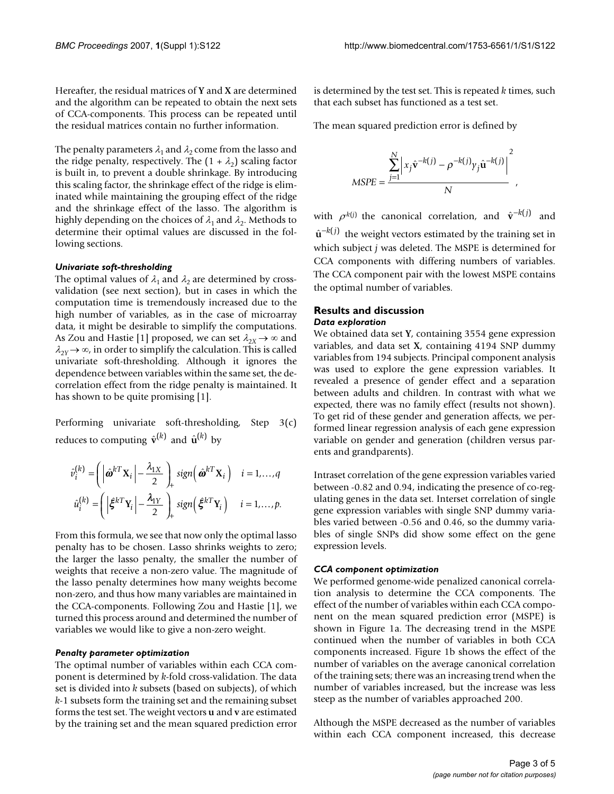Hereafter, the residual matrices of **Y** and **X** are determined and the algorithm can be repeated to obtain the next sets of CCA-components. This process can be repeated until the residual matrices contain no further information.

The penalty parameters  $\lambda_1$  and  $\lambda_2$  come from the lasso and the ridge penalty, respectively. The  $(1 + \lambda_2)$  scaling factor is built in, to prevent a double shrinkage. By introducing this scaling factor, the shrinkage effect of the ridge is eliminated while maintaining the grouping effect of the ridge and the shrinkage effect of the lasso. The algorithm is highly depending on the choices of  $\lambda_1$  and  $\lambda_2$ . Methods to determine their optimal values are discussed in the following sections.

### *Univariate soft-thresholding*

The optimal values of  $\lambda_1$  and  $\lambda_2$  are determined by crossvalidation (see next section), but in cases in which the computation time is tremendously increased due to the high number of variables, as in the case of microarray data, it might be desirable to simplify the computations. As Zou and Hastie [1] proposed, we can set  $\lambda_{2X} \rightarrow \infty$  and  $\lambda_{2Y} \rightarrow \infty$ , in order to simplify the calculation. This is called univariate soft-thresholding. Although it ignores the dependence between variables within the same set, the decorrelation effect from the ridge penalty is maintained. It has shown to be quite promising [1].

Performing univariate soft-thresholding, Step 3(c) reduces to computing  $\hat{\mathbf{v}}^{(k)}$  and  $\hat{\mathbf{u}}^{(k)}$  by

$$
\hat{v}_i^{(k)} = \left( \left| \hat{\boldsymbol{\omega}}^{k} \mathbf{X}_i \right| - \frac{\lambda_{1X}}{2} \right)_{+} sign \left( \hat{\boldsymbol{\omega}}^{k} \mathbf{X}_i \right) \quad i = 1, ..., q
$$
  

$$
\hat{u}_i^{(k)} = \left( \left| \hat{\boldsymbol{\xi}}^{k} \mathbf{Y}_i \right| - \frac{\lambda_{1Y}}{2} \right)_{+} sign \left( \hat{\boldsymbol{\xi}}^{k} \mathbf{Y}_i \right) \quad i = 1, ..., p.
$$

From this formula, we see that now only the optimal lasso penalty has to be chosen. Lasso shrinks weights to zero; the larger the lasso penalty, the smaller the number of weights that receive a non-zero value. The magnitude of the lasso penalty determines how many weights become non-zero, and thus how many variables are maintained in the CCA-components. Following Zou and Hastie [1], we turned this process around and determined the number of variables we would like to give a non-zero weight.

#### *Penalty parameter optimization*

The optimal number of variables within each CCA component is determined by *k*-fold cross-validation. The data set is divided into *k* subsets (based on subjects), of which *k*-1 subsets form the training set and the remaining subset forms the test set. The weight vectors **u** and **v** are estimated by the training set and the mean squared prediction error is determined by the test set. This is repeated *k* times, such that each subset has functioned as a test set.

The mean squared prediction error is defined by

$$
MSPE = \frac{\sum_{j=1}^{N} \left| x_j \hat{\mathbf{v}}^{-k(j)} - \rho^{-k(j)} \gamma_j \hat{\mathbf{u}}^{-k(j)} \right|^2}{N} ,
$$

with  $\rho^{k(j)}$  the canonical correlation, and  $\hat{\mathbf{v}}^{-k(j)}$  and  $\hat{\mathbf{u}}^{-k(j)}$  the weight vectors estimated by the training set in which subject *j* was deleted. The MSPE is determined for CCA components with differing numbers of variables. The CCA component pair with the lowest MSPE contains the optimal number of variables.

#### **Results and discussion** *Data exploration*

We obtained data set **Y**, containing 3554 gene expression variables, and data set **X**, containing 4194 SNP dummy variables from 194 subjects. Principal component analysis was used to explore the gene expression variables. It revealed a presence of gender effect and a separation between adults and children. In contrast with what we expected, there was no family effect (results not shown). To get rid of these gender and generation affects, we performed linear regression analysis of each gene expression variable on gender and generation (children versus parents and grandparents).

Intraset correlation of the gene expression variables varied between -0.82 and 0.94, indicating the presence of co-regulating genes in the data set. Interset correlation of single gene expression variables with single SNP dummy variables varied between -0.56 and 0.46, so the dummy variables of single SNPs did show some effect on the gene expression levels.

#### *CCA component optimization*

We performed genome-wide penalized canonical correlation analysis to determine the CCA components. The effect of the number of variables within each CCA component on the mean squared prediction error (MSPE) is shown in Figure 1a. The decreasing trend in the MSPE continued when the number of variables in both CCA components increased. Figure 1b shows the effect of the number of variables on the average canonical correlation of the training sets; there was an increasing trend when the number of variables increased, but the increase was less steep as the number of variables approached 200.

Although the MSPE decreased as the number of variables within each CCA component increased, this decrease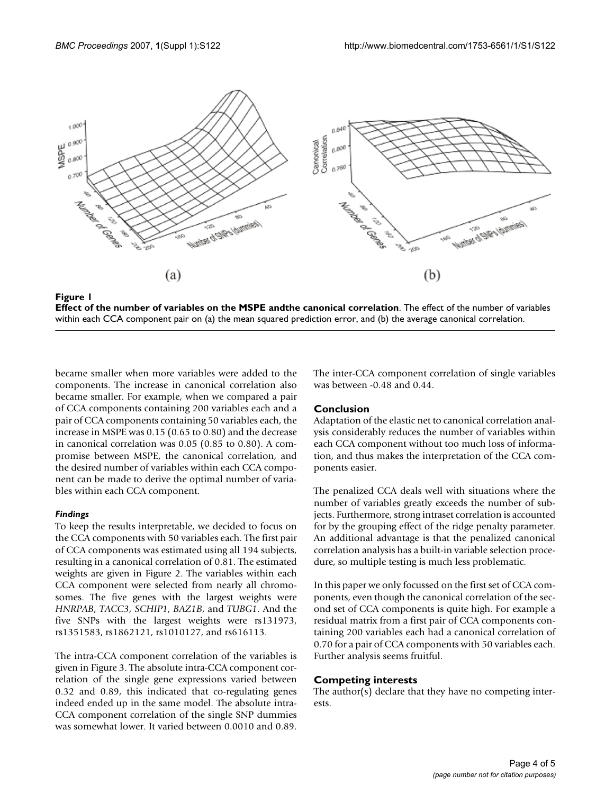



became smaller when more variables were added to the components. The increase in canonical correlation also became smaller. For example, when we compared a pair of CCA components containing 200 variables each and a pair of CCA components containing 50 variables each, the increase in MSPE was 0.15 (0.65 to 0.80) and the decrease in canonical correlation was 0.05 (0.85 to 0.80). A compromise between MSPE, the canonical correlation, and the desired number of variables within each CCA component can be made to derive the optimal number of variables within each CCA component.

### *Findings*

To keep the results interpretable, we decided to focus on the CCA components with 50 variables each. The first pair of CCA components was estimated using all 194 subjects, resulting in a canonical correlation of 0.81. The estimated weights are given in Figure 2. The variables within each CCA component were selected from nearly all chromosomes. The five genes with the largest weights were *HNRPAB*, *TACC3*, *SCHIP1*, *BAZ1B*, and *TUBG1*. And the five SNPs with the largest weights were rs131973, rs1351583, rs1862121, rs1010127, and rs616113.

The intra-CCA component correlation of the variables is given in Figure 3. The absolute intra-CCA component correlation of the single gene expressions varied between 0.32 and 0.89, this indicated that co-regulating genes indeed ended up in the same model. The absolute intra-CCA component correlation of the single SNP dummies was somewhat lower. It varied between 0.0010 and 0.89.

The inter-CCA component correlation of single variables was between -0.48 and 0.44.

### **Conclusion**

Adaptation of the elastic net to canonical correlation analysis considerably reduces the number of variables within each CCA component without too much loss of information, and thus makes the interpretation of the CCA components easier.

The penalized CCA deals well with situations where the number of variables greatly exceeds the number of subjects. Furthermore, strong intraset correlation is accounted for by the grouping effect of the ridge penalty parameter. An additional advantage is that the penalized canonical correlation analysis has a built-in variable selection procedure, so multiple testing is much less problematic.

In this paper we only focussed on the first set of CCA components, even though the canonical correlation of the second set of CCA components is quite high. For example a residual matrix from a first pair of CCA components containing 200 variables each had a canonical correlation of 0.70 for a pair of CCA components with 50 variables each. Further analysis seems fruitful.

### **Competing interests**

The author(s) declare that they have no competing interests.